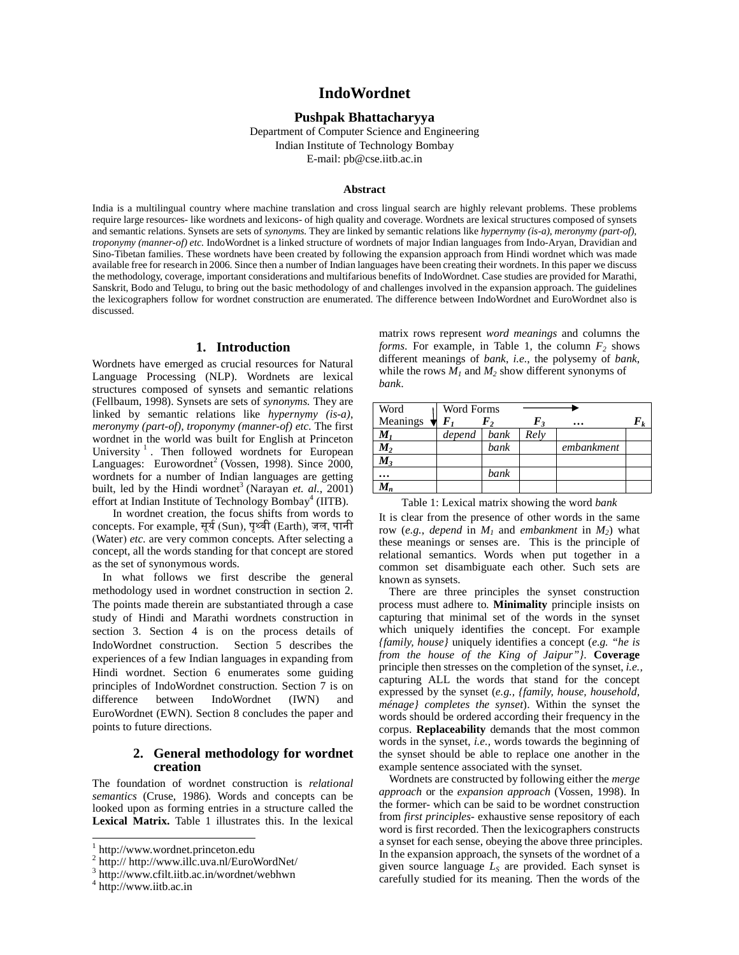# **IndoWordnet**

### **Pushpak Bhattacharyya**

Department of Computer Science and Engineering Indian Institute of Technology Bombay E-mail: pb@cse.iitb.ac.in

#### **Abstract**

India is a multilingual country where machine translation and cross lingual search are highly relevant problems. These problems require large resources- like wordnets and lexicons- of high quality and coverage. Wordnets are lexical structures composed of synsets and semantic relations. Synsets are sets of *synonyms.* They are linked by semantic relations like *hypernymy (is-a)*, *meronymy (part-of), troponymy (manner-of) etc.* IndoWordnet is a linked structure of wordnets of major Indian languages from Indo-Aryan, Dravidian and Sino-Tibetan families. These wordnets have been created by following the expansion approach from Hindi wordnet which was made available free for research in 2006. Since then a number of Indian languages have been creating their wordnets. In this paper we discuss the methodology, coverage, important considerations and multifarious benefits of IndoWordnet. Case studies are provided for Marathi, Sanskrit, Bodo and Telugu, to bring out the basic methodology of and challenges involved in the expansion approach. The guidelines the lexicographers follow for wordnet construction are enumerated. The difference between IndoWordnet and EuroWordnet also is discussed.

#### **1. Introduction**

Wordnets have emerged as crucial resources for Natural Language Processing (NLP). Wordnets are lexical structures composed of synsets and semantic relations (Fellbaum, 1998). Synsets are sets of *synonyms.* They are linked by semantic relations like *hypernymy (is-a)*, *meronymy (part-of), troponymy (manner-of) etc.* The first wordnet in the world was built for English at Princeton University<sup>1</sup>. Then followed wordnets for European Languages: Eurowordnet<sup>2</sup> (Vossen, 1998). Since 2000, wordnets for a number of Indian languages are getting built, led by the Hindi wordnet<sup>3</sup> (Narayan *et. al.*, 2001) effort at Indian Institute of Technology Bombay<sup>4</sup> (IITB).

In wordnet creation, the focus shifts from words to concepts. For example, सूय (Sun), पृवी (Earth), जल, पानी (Water) *etc.* are very common concepts*.* After selecting a concept, all the words standing for that concept are stored as the set of synonymous words.

In what follows we first describe the general methodology used in wordnet construction in section 2. The points made therein are substantiated through a case study of Hindi and Marathi wordnets construction in section 3. Section 4 is on the process details of IndoWordnet construction. Section 5 describes the experiences of a few Indian languages in expanding from Hindi wordnet. Section 6 enumerates some guiding principles of IndoWordnet construction. Section 7 is on difference between IndoWordnet (IWN) and EuroWordnet (EWN). Section 8 concludes the paper and points to future directions.

### **2. General methodology for wordnet creation**

The foundation of wordnet construction is *relational semantics* (Cruse, 1986)*.* Words and concepts can be looked upon as forming entries in a structure called the **Lexical Matrix.** Table 1 illustrates this. In the lexical

 $\overline{\phantom{a}}$ 

matrix rows represent *word meanings* and columns the *forms*. For example, in Table 1, the column  $F_2$  shows different meanings of *bank*, *i.e.*, the polysemy of *bank*, while the rows  $\overline{M}_1$  and  $\overline{M}_2$  show different synonyms of *bank*.

| Word     | <b>Word Forms</b> |      |                   |            |  |
|----------|-------------------|------|-------------------|------------|--|
| Meanings |                   | F,   | $\bm{F}_{\bm{3}}$ | $\cdots$   |  |
| $M_I$    | depend            | bank | Rely              |            |  |
| $M_{2}$  |                   | bank |                   | embankment |  |
| $M_3$    |                   |      |                   |            |  |
|          |                   | bank |                   |            |  |
| $M_n$    |                   |      |                   |            |  |

Table 1: Lexical matrix showing the word *bank* 

It is clear from the presence of other words in the same row (e.g., *depend* in  $M_1$  and *embankment* in  $M_2$ ) what these meanings or senses are. This is the principle of relational semantics. Words when put together in a common set disambiguate each other. Such sets are known as synsets.

There are three principles the synset construction process must adhere to. **Minimality** principle insists on capturing that minimal set of the words in the synset which uniquely identifies the concept. For example *{family, house}* uniquely identifies a concept (*e.g. "he is from the house of the King of Jaipur"}*. **Coverage** principle then stresses on the completion of the synset, *i.e.,*  capturing ALL the words that stand for the concept expressed by the synset (*e.g., {family, house, household, ménage} completes the synset*). Within the synset the words should be ordered according their frequency in the corpus. **Replaceability** demands that the most common words in the synset, *i.e.,* words towards the beginning of the synset should be able to replace one another in the example sentence associated with the synset.

Wordnets are constructed by following either the *merge approach* or the *expansion approach* (Vossen, 1998). In the former- which can be said to be wordnet construction from *first principles-* exhaustive sense repository of each word is first recorded. Then the lexicographers constructs a synset for each sense, obeying the above three principles. In the expansion approach, the synsets of the wordnet of a given source language *LS* are provided. Each synset is carefully studied for its meaning. Then the words of the

<sup>1</sup> http://www.wordnet.princeton.edu

<sup>&</sup>lt;sup>2</sup> http:// http://www.illc.uva.nl/EuroWordNet/

<sup>3</sup> http://www.cfilt.iitb.ac.in/wordnet/webhwn

<sup>&</sup>lt;sup>4</sup> http://www.iitb.ac.in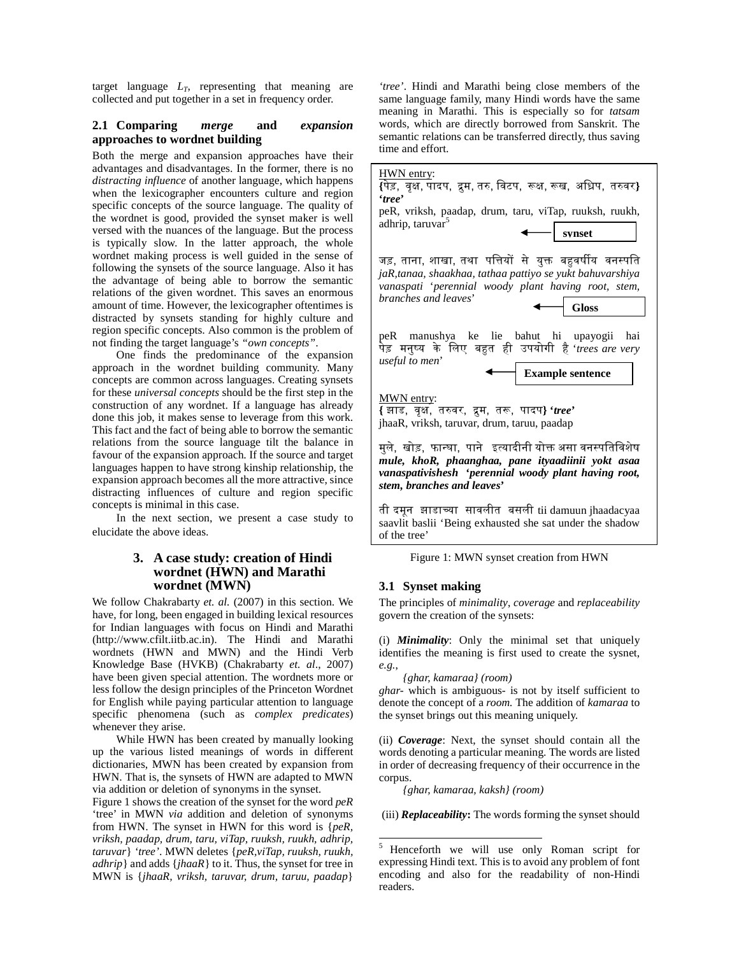target language *LT*, representing that meaning are collected and put together in a set in frequency order.

#### **2.1 Comparing** *merge* **and** *expansion* **approaches to wordnet building**

Both the merge and expansion approaches have their advantages and disadvantages. In the former, there is no *distracting influence* of another language, which happens when the lexicographer encounters culture and region specific concepts of the source language. The quality of the wordnet is good, provided the synset maker is well versed with the nuances of the language. But the process is typically slow. In the latter approach, the whole wordnet making process is well guided in the sense of following the synsets of the source language. Also it has the advantage of being able to borrow the semantic relations of the given wordnet. This saves an enormous amount of time. However, the lexicographer oftentimes is distracted by synsets standing for highly culture and region specific concepts. Also common is the problem of not finding the target language's *"own concepts"*.

 One finds the predominance of the expansion approach in the wordnet building community. Many concepts are common across languages. Creating synsets for these *universal concepts* should be the first step in the construction of any wordnet. If a language has already done this job, it makes sense to leverage from this work. This fact and the fact of being able to borrow the semantic relations from the source language tilt the balance in favour of the expansion approach. If the source and target languages happen to have strong kinship relationship, the expansion approach becomes all the more attractive, since distracting influences of culture and region specific concepts is minimal in this case.

 In the next section, we present a case study to elucidate the above ideas.

# **3. A case study: creation of Hindi wordnet (HWN) and Marathi wordnet (MWN)**

We follow Chakrabarty *et. al.* (2007) in this section. We have, for long, been engaged in building lexical resources for Indian languages with focus on Hindi and Marathi (http://www.cfilt.iitb.ac.in). The Hindi and Marathi wordnets (HWN and MWN) and the Hindi Verb Knowledge Base (HVKB) (Chakrabarty *et. al*., 2007) have been given special attention. The wordnets more or less follow the design principles of the Princeton Wordnet for English while paying particular attention to language specific phenomena (such as *complex predicates*) whenever they arise.

While HWN has been created by manually looking up the various listed meanings of words in different dictionaries, MWN has been created by expansion from HWN. That is, the synsets of HWN are adapted to MWN via addition or deletion of synonyms in the synset.

Figure 1 shows the creation of the synset for the word *peR* 'tree' in MWN *via* addition and deletion of synonyms from HWN. The synset in HWN for this word is {*peR, vriksh, paadap, drum, taru, viTap, ruuksh, ruukh, adhrip, taruvar*} *'tree'*. MWN deletes {*peR,viTap, ruuksh, ruukh, adhrip*} and adds {*jhaaR*} to it. Thus, the synset for tree in MWN is {*jhaaR, vriksh, taruvar, drum, taruu, paadap*}

*'tree'*. Hindi and Marathi being close members of the same language family, many Hindi words have the same meaning in Marathi. This is especially so for *tatsam*  words, which are directly borrowed from Sanskrit. The semantic relations can be transferred directly, thus saving time and effort.



ती दमून झाडा7या सावलीत बसली tii damuun jhaadacyaa saavlit baslii 'Being exhausted she sat under the shadow of the tree'

| Figure 1: MWN synset creation from HWN |  |  |
|----------------------------------------|--|--|
|                                        |  |  |

#### **3.1 Synset making**

The principles of *minimality*, *coverage* and *replaceability* govern the creation of the synsets:

(i) *Minimality*: Only the minimal set that uniquely identifies the meaning is first used to create the sysnet, *e.g.*,

*{ghar, kamaraa} (room)* 

*ghar-* which is ambiguous- is not by itself sufficient to denote the concept of a *room.* The addition of *kamaraa* to the synset brings out this meaning uniquely.

(ii) *Coverage*: Next, the synset should contain all the words denoting a particular meaning. The words are listed in order of decreasing frequency of their occurrence in the corpus.

*{ghar, kamaraa, kaksh} (room)* 

-

(iii) *Replaceability***:** The words forming the synset should

<sup>5</sup> Henceforth we will use only Roman script for expressing Hindi text. This is to avoid any problem of font encoding and also for the readability of non-Hindi readers.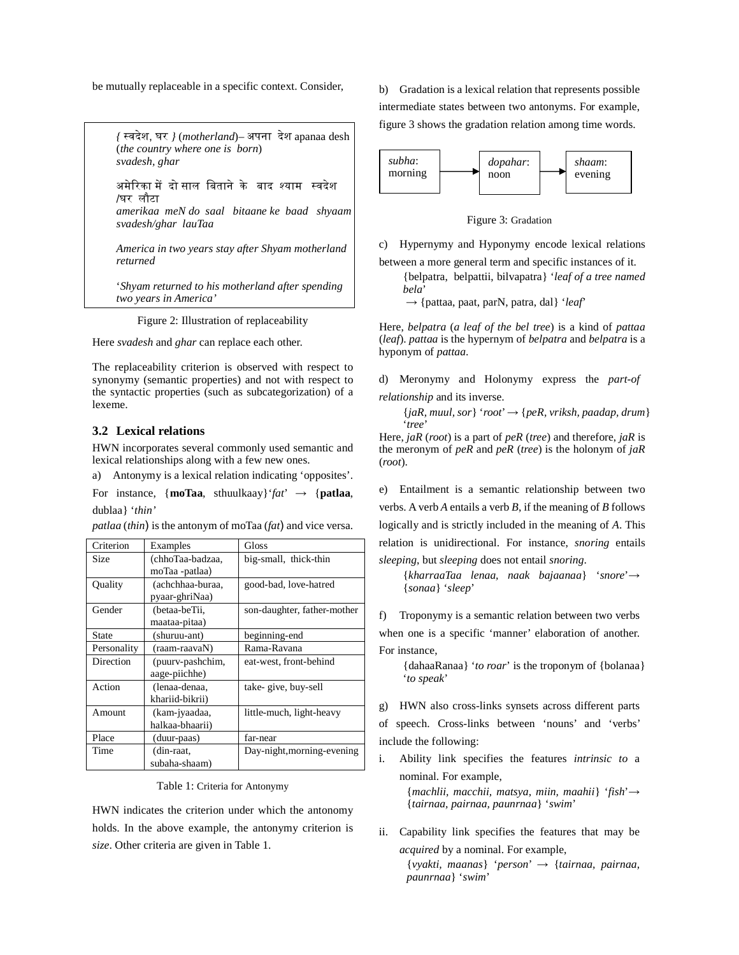be mutually replaceable in a specific context. Consider,

*{* 'वदेश, घर *}* (*motherland*)– अपना देश apanaa desh (*the country where one is born*) *svadesh, ghar* 

अमेरिका में दो साल बिताने के बाद श्याम स्वदेश /घर लौटा

*amerikaa meN do saal bitaane ke baad shyaam svadesh/ghar lauTaa* 

*America in two years stay after Shyam motherland returned* 

'*Shyam returned to his motherland after spending two years in America'* 

Figure 2: Illustration of replaceability

Here *svadesh* and *ghar* can replace each other.

The replaceability criterion is observed with respect to synonymy (semantic properties) and not with respect to the syntactic properties (such as subcategorization) of a lexeme.

# **3.2 Lexical relations**

HWN incorporates several commonly used semantic and lexical relationships along with a few new ones.

a) Antonymy is a lexical relation indicating 'opposites'.

For instance,  ${mod}$ **raa**, sthuulkaay ${afa \rightarrow$  {**patlaa**, dublaa} '*thin'*

*patlaa* (*thin*) is the antonym of moTaa (*fat*) and vice versa.

| Criterion    | Examples         | Gloss                       |
|--------------|------------------|-----------------------------|
| Size         | (chhoTaa-badzaa, | big-small, thick-thin       |
|              | moTaa -patlaa)   |                             |
| Quality      | (achchhaa-buraa. | good-bad, love-hatred       |
|              | pyaar-ghriNaa)   |                             |
| Gender       | (betaa-beTii,    | son-daughter, father-mother |
|              | maataa-pitaa)    |                             |
| <b>State</b> | (shuruu-ant)     | beginning-end               |
| Personality  | (raam-raavaN)    | Rama-Ravana                 |
| Direction    | (puurv-pashchim, | eat-west, front-behind      |
|              | aage-piichhe)    |                             |
| Action       | (lenaa-denaa,    | take-give, buy-sell         |
|              | khariid-bikrii)  |                             |
| Amount       | (kam-jyaadaa,    | little-much, light-heavy    |
|              | halkaa-bhaarii)  |                             |
| Place        | (duur-paas)      | far-near                    |
| Time         | (din-raat,       | Day-night, morning-evening  |
|              | subaha-shaam)    |                             |

Table 1: Criteria for Antonymy

HWN indicates the criterion under which the antonomy holds. In the above example, the antonymy criterion is *size*. Other criteria are given in Table 1.

b) Gradation is a lexical relation that represents possible intermediate states between two antonyms. For example, figure 3 shows the gradation relation among time words.



Figure 3: Gradation

c) Hypernymy and Hyponymy encode lexical relations

between a more general term and specific instances of it.

{belpatra, belpattii, bilvapatra} '*leaf of a tree named bela*'

→ {pattaa, paat, parN, patra, dal} '*leaf*'

Here, *belpatra* (*a leaf of the bel tree*) is a kind of *pattaa* (*leaf*). *pattaa* is the hypernym of *belpatra* and *belpatra* is a hyponym of *pattaa*.

d) Meronymy and Holonymy express the *part-of relationship* and its inverse.

{*jaR, muul, sor*} '*root*' → {*peR, vriksh, paadap, drum*} '*tree*'

Here, *jaR* (*root*) is a part of *peR* (*tree*) and therefore, *jaR* is the meronym of *peR* and *peR* (*tree*) is the holonym of *jaR* (*root*).

e) Entailment is a semantic relationship between two verbs. A verb *A* entails a verb *B*, if the meaning of *B* follows logically and is strictly included in the meaning of *A*. This relation is unidirectional. For instance, *snoring* entails *sleeping*, but *sleeping* does not entail *snoring*.

{*kharraaTaa lenaa, naak bajaanaa*} '*snore*'→ {*sonaa*} '*sleep*'

f) Troponymy is a semantic relation between two verbs

when one is a specific 'manner' elaboration of another. For instance,

{dahaaRanaa} '*to roar*' is the troponym of {bolanaa} '*to speak*'

g) HWN also cross-links synsets across different parts

of speech. Cross-links between 'nouns' and 'verbs' include the following:

i. Ability link specifies the features *intrinsic to* a nominal. For example,

{*machlii, macchii, matsya, miin, maahii*} '*fish*'→ {*tairnaa, pairnaa, paunrnaa*} '*swim*'

ii. Capability link specifies the features that may be *acquired* by a nominal. For example,

> {*vyakti, maanas*} '*person*' → {*tairnaa, pairnaa, paunrnaa*} '*swim*'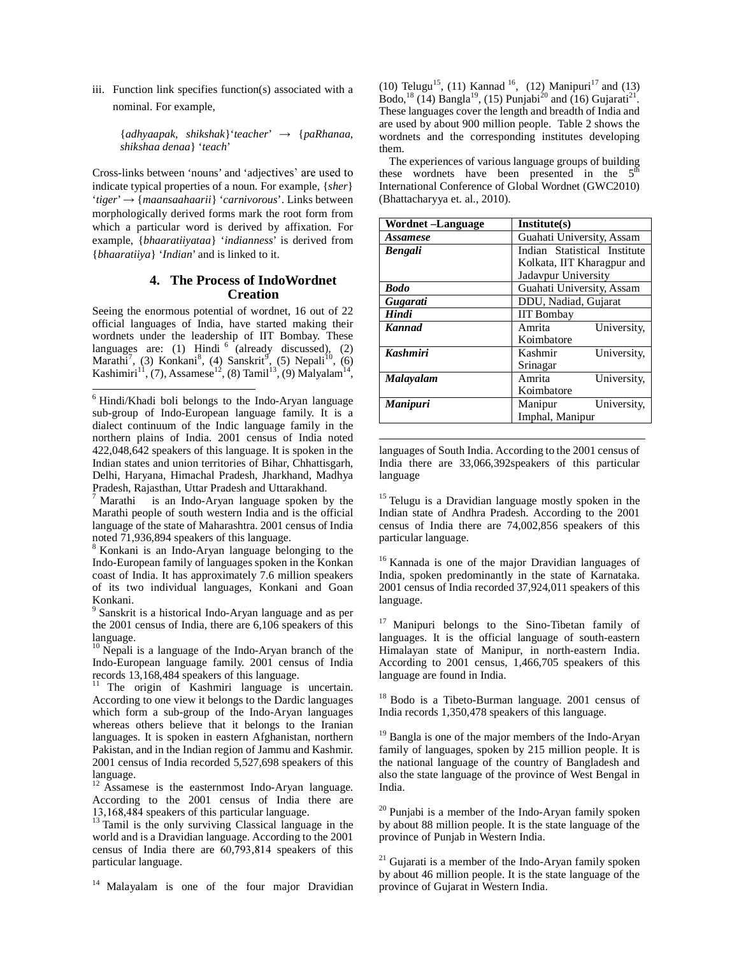iii. Function link specifies function(s) associated with a nominal. For example,

> {*adhyaapak, shikshak*}'*teacher*' → {*paRhanaa, shikshaa denaa*} '*teach*'

Cross-links between 'nouns' and 'adjectives' are used to indicate typical properties of a noun. For example, {*sher*} '*tiger*' → {*maansaahaarii*} '*carnivorous*'. Links between morphologically derived forms mark the root form from which a particular word is derived by affixation. For example, {*bhaaratiiyataa*} '*indianness*' is derived from {*bhaaratiiya*} '*Indian*' and is linked to it.

## **4. The Process of IndoWordnet Creation**

Seeing the enormous potential of wordnet, 16 out of 22 official languages of India, have started making their wordnets under the leadership of IIT Bombay. These languages are: (1) Hindi  $6 \text{ (already discussed)},$  (2) Marathi<sup>7</sup>, (3) Konkani<sup>8</sup>, (4) Sanskrit<sup>9</sup>, (5) Nepali<sup>10</sup>, (6) Kashimiri<sup>11</sup>, (7), Assamese<sup>12</sup>, (8) Tamil<sup>13</sup>, (9) Malyalam<sup>14</sup>,

7 Marathi is an Indo-Aryan language spoken by the Marathi people of south western India and is the official language of the state of Maharashtra. 2001 census of India noted 71,936,894 speakers of this language.

8 Konkani is an Indo-Aryan language belonging to the Indo-European family of languages spoken in the Konkan coast of India. It has approximately 7.6 million speakers of its two individual languages, Konkani and Goan Konkani.

<sup>9</sup> Sanskrit is a historical Indo-Aryan language and as per the 2001 census of India, there are 6,106 speakers of this language.

<sup>10</sup> Nepali is a language of the Indo-Aryan branch of the Indo-European language family. 2001 census of India records 13,168,484 speakers of this language.

<sup>11</sup> The origin of Kashmiri language is uncertain. According to one view it belongs to the Dardic languages which form a sub-group of the Indo-Aryan languages whereas others believe that it belongs to the Iranian languages. It is spoken in eastern Afghanistan, northern Pakistan, and in the Indian region of Jammu and Kashmir. 2001 census of India recorded 5,527,698 speakers of this language.

<sup>12</sup> Assamese is the easternmost Indo-Aryan language. According to the 2001 census of India there are 13,168,484 speakers of this particular language.

<sup>13</sup> Tamil is the only surviving Classical language in the world and is a Dravidian language. According to the 2001 census of India there are 60,793,814 speakers of this particular language.

<sup>14</sup> Malayalam is one of the four major Dravidian

(10) Telugu<sup>15</sup>, (11) Kannad <sup>16</sup>, (12) Manipuri<sup>17</sup> and (13) Bodo,<sup>18</sup> (14) Bangla<sup>19</sup>, (15) Punjabi<sup>20</sup> and (16) Gujarati<sup>21</sup>. These languages cover the length and breadth of India and are used by about 900 million people. Table 2 shows the wordnets and the corresponding institutes developing them.

The experiences of various language groups of building these wordnets have been presented in the  $5<sup>th</sup>$ International Conference of Global Wordnet (GWC2010) (Bhattacharyya et. al., 2010).

| Wordnet –Language | Institute(s)                 |  |  |
|-------------------|------------------------------|--|--|
| <i>Assamese</i>   | Guahati University, Assam    |  |  |
| <b>Bengali</b>    | Indian Statistical Institute |  |  |
|                   | Kolkata, IIT Kharagpur and   |  |  |
|                   | Jadavpur University          |  |  |
| <b>Bodo</b>       | Guahati University, Assam    |  |  |
| Gugarati          | DDU, Nadiad, Gujarat         |  |  |
| Hindi             | <b>IIT Bombay</b>            |  |  |
| <b>Kannad</b>     | University,<br>Amrita        |  |  |
|                   | Koimbatore                   |  |  |
| <b>Kashmiri</b>   | Kashmir<br>University,       |  |  |
|                   | Srinagar                     |  |  |
| Malayalam         | Amrita<br>University,        |  |  |
|                   | Koimbatore                   |  |  |
| <b>Manipuri</b>   | University,<br>Manipur       |  |  |
|                   | Imphal, Manipur              |  |  |

languages of South India. According to the 2001 census of India there are 33,066,392speakers of this particular language

 $\overline{a}$ 

<sup>15</sup> Telugu is a Dravidian language mostly spoken in the Indian state of Andhra Pradesh. According to the 2001 census of India there are 74,002,856 speakers of this particular language.

<sup>16</sup> Kannada is one of the major Dravidian languages of India, spoken predominantly in the state of Karnataka. 2001 census of India recorded 37,924,011 speakers of this language.

<sup>17</sup> Manipuri belongs to the Sino-Tibetan family of languages. It is the official language of south-eastern Himalayan state of Manipur, in north-eastern India. According to 2001 census, 1,466,705 speakers of this language are found in India.

<sup>18</sup> Bodo is a Tibeto-Burman language. 2001 census of India records 1,350,478 speakers of this language.

 $19$  Bangla is one of the major members of the Indo-Aryan family of languages, spoken by 215 million people. It is the national language of the country of Bangladesh and also the state language of the province of West Bengal in India.

 $20$  Punjabi is a member of the Indo-Aryan family spoken by about 88 million people. It is the state language of the province of Punjab in Western India.

 $21$  Gujarati is a member of the Indo-Aryan family spoken by about 46 million people. It is the state language of the province of Gujarat in Western India.

 6 Hindi/Khadi boli belongs to the Indo-Aryan language sub-group of Indo-European language family. It is a dialect continuum of the Indic language family in the northern plains of India. 2001 census of India noted 422,048,642 speakers of this language. It is spoken in the Indian states and union territories of Bihar, Chhattisgarh, Delhi, Haryana, Himachal Pradesh, Jharkhand, Madhya Pradesh, Rajasthan, Uttar Pradesh and Uttarakhand.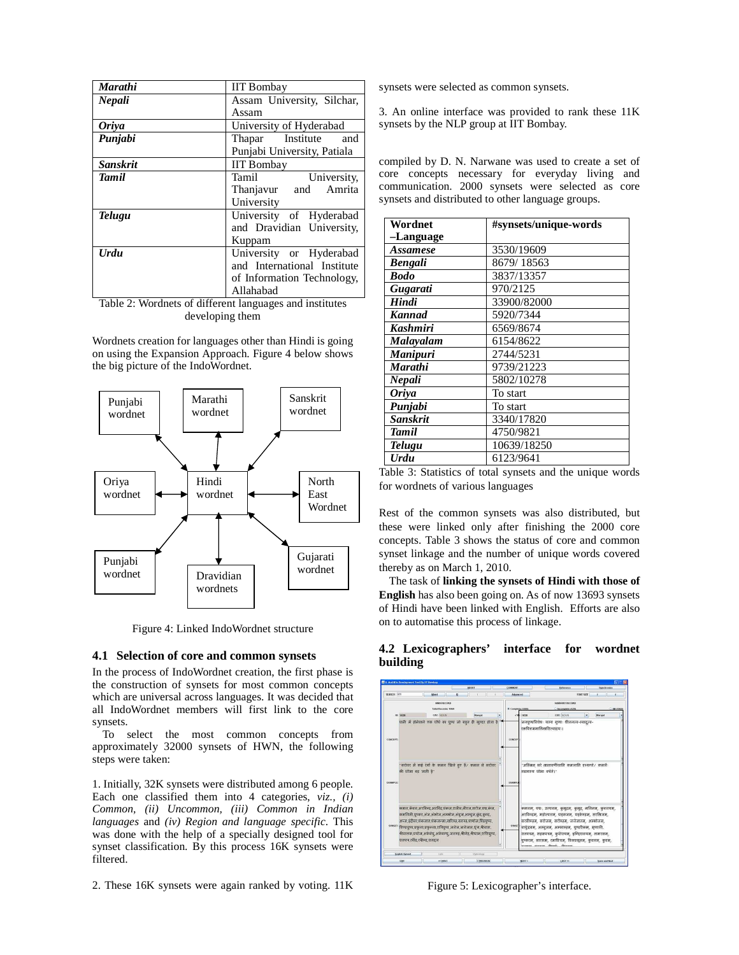| <b>Marathi</b>  | <b>IIT Bombay</b>           |  |  |
|-----------------|-----------------------------|--|--|
| Nepali          | Assam University, Silchar,  |  |  |
|                 | Assam                       |  |  |
| <b>Oriva</b>    | University of Hyderabad     |  |  |
| Punjabi         | Thapar Institute<br>and     |  |  |
|                 | Punjabi University, Patiala |  |  |
| <b>Sanskrit</b> | <b>IIT Bombay</b>           |  |  |
| <b>Tamil</b>    | University,<br>Tamil        |  |  |
|                 | Thanjavur and<br>Amrita     |  |  |
|                 | University                  |  |  |
| <b>Telugu</b>   | University of Hyderabad     |  |  |
|                 | and Dravidian University,   |  |  |
|                 | Kuppam                      |  |  |
| <b>Urdu</b>     | University or Hyderabad     |  |  |
|                 | and International Institute |  |  |
|                 | of Information Technology,  |  |  |
|                 | Allahabad                   |  |  |

Table 2: Wordnets of different languages and institutes developing them

Wordnets creation for languages other than Hindi is going on using the Expansion Approach. Figure 4 below shows the big picture of the IndoWordnet.



Figure 4: Linked IndoWordnet structure

#### **4.1 Selection of core and common synsets**

In the process of IndoWordnet creation, the first phase is the construction of synsets for most common concepts which are universal across languages. It was decided that all IndoWordnet members will first link to the core synsets.

To select the most common concepts from approximately 32000 synsets of HWN, the following steps were taken:

1. Initially, 32K synsets were distributed among 6 people. Each one classified them into 4 categories,  $viz.$ , *(i) Common, (ii) Uncommon, (iii) Common in Indian languages* and *(iv) Region and language specific*. This was done with the help of a specially designed tool for synset classification. By this process 16K synsets were filtered.

2. These 16K synsets were again ranked by voting. 11K

synsets were selected as common synsets.

3. An online interface was provided to rank these 11K synsets by the NLP group at IIT Bombay.

compiled by D. N. Narwane was used to create a set of core concepts necessary for everyday living and communication. 2000 synsets were selected as core synsets and distributed to other language groups.

| Wordnet         | #synsets/unique-words |  |
|-----------------|-----------------------|--|
| -Language       |                       |  |
| <i>Assamese</i> | 3530/19609            |  |
| <b>Bengali</b>  | 8679/18563            |  |
| <b>Bodo</b>     | 3837/13357            |  |
| Gugarati        | 970/2125              |  |
| Hindi           | 33900/82000           |  |
| <b>Kannad</b>   | 5920/7344             |  |
| <b>Kashmiri</b> | 6569/8674             |  |
| Malayalam       | 6154/8622             |  |
| <b>Manipuri</b> | 2744/5231             |  |
| Marathi         | 9739/21223            |  |
| Nepali          | 5802/10278            |  |
| Oriya           | To start              |  |
| Punjabi         | To start              |  |
| <b>Sanskrit</b> | 3340/17820            |  |
| <b>Tamil</b>    | 4750/9821             |  |
| Telugu          | 10639/18250           |  |
| Urdu            | 6123/9641             |  |

Table 3: Statistics of total synsets and the unique words for wordnets of various languages

Rest of the common synsets was also distributed, but these were linked only after finishing the 2000 core concepts. Table 3 shows the status of core and common synset linkage and the number of unique words covered thereby as on March 1, 2010.

The task of **linking the synsets of Hindi with those of English** has also been going on. As of now 13693 synsets of Hindi have been linked with English. Efforts are also on to automatise this process of linkage.

#### **4.2 Lexicographers' interface for wordnet building**



Figure 5: Lexicographer's interface.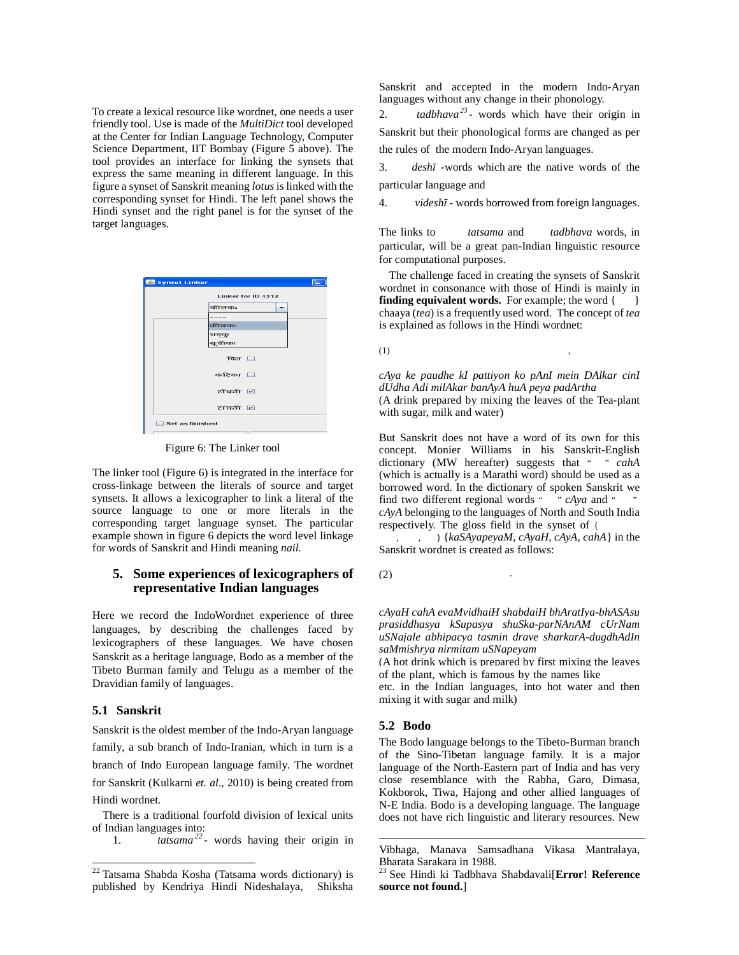To create a lexical resource like wordnet, one needs a user friendly tool. Use is made of the *MultiDict* tool developed at the Center for Indian Language Technology, Computer Science Department, IIT Bombay (Figure 5 above). The tool provides an interface for linking the synsets that express the same meaning in different language. In this figure a synset of Sanskrit meaning *lotus* is linked with the corresponding synset for Hindi. The left panel shows the Hindi synset and the right panel is for the synset of the target languages.

| Synset Linker      |  |
|--------------------|--|
| Linker for ID 4312 |  |
| कीलकः              |  |
| $- - -$<br>कीलकः   |  |
| शङ्कु              |  |
| सूचीका             |  |
| पित $\Box$         |  |
| कंटिका नि          |  |
| टॉंचनी न           |  |
| टांचनी न           |  |
| Set as finished    |  |
|                    |  |

Figure 6: The Linker tool

The linker tool (Figure 6) is integrated in the interface for cross-linkage between the literals of source and target synsets. It allows a lexicographer to link a literal of the source language to one or more literals in the corresponding target language synset. The particular example shown in figure 6 depicts the word level linkage for words of Sanskrit and Hindi meaning *nail.*

# **5. Some experiences of lexicographers of representative Indian languages**

Here we record the IndoWordnet experience of three languages, by describing the challenges faced by lexicographers of these languages. We have chosen Sanskrit as a heritage language, Bodo as a member of the Tibeto Burman family and Telugu as a member of the Dravidian family of languages.

# **5.1 Sanskrit**

 $\overline{\phantom{a}}$ 

Sanskrit is the oldest member of the Indo-Aryan language family, a sub branch of Indo-Iranian, which in turn is a branch of Indo European language family. The wordnet for Sanskrit (Kulkarni *et. al*., 2010) is being created from Hindi wordnet.

There is a traditional fourfold division of lexical units of Indian languages into:

1. *tatsama <sup>22</sup> -* words having their origin in

Sanskrit and accepted in the modern Indo-Aryan languages without any change in their phonology.

2. *tadbhava<sup>23</sup>* - words which have their origin in Sanskrit but their phonological forms are changed as per the rules of the modern Indo-Aryan languages.

3. *desh*ī -words which are the native words of the particular language and

4. *videsh*ī - words borrowed from foreign languages.

The links to *tatsama* and *tadbhava* words, in particular, will be a great pan-Indian linguistic resource for computational purposes.

The challenge faced in creating the synsets of Sanskrit wordnet in consonance with those of Hindi is mainly in **finding equivalent words.** For example; the word  $\{\ \ \ \ \ \}$ chaaya (*tea*) is a frequently used word. The concept of *tea* is explained as follows in the Hindi wordnet:

 $(1)$ ,  $(2)$ ,  $(3)$ ,  $(4)$ ,  $(5)$ ,  $(6)$ ,  $(7)$ ,  $(8)$ ,  $(8)$ ,  $(9)$ ,  $(1)$ ,  $(1)$ ,  $(1)$ ,  $(1)$ ,  $(1)$ ,  $(1)$ ,  $(1)$ ,  $(1)$ ,  $(1)$ ,  $(1)$ ,  $(1)$ ,  $(1)$ ,  $(1)$ ,  $(1)$ ,  $(1)$ ,  $(1)$ ,  $(1)$ ,  $(1)$ ,  $(1)$ ,  $(1)$ ,  $(1)$ ,  $(1)$ 

*cAya ke paudhe kI pattiyon ko pAnI mein DAlkar cinI dUdha Adi milAkar banAyA huA peya padArtha*  (A drink prepared by mixing the leaves of the Tea-plant with sugar, milk and water)

But Sanskrit does not have a word of its own for this concept. Monier Williams in his Sanskrit-English dictionary (MW hereafter) suggests that " " *cahA* (which is actually is a Marathi word) should be used as a borrowed word. In the dictionary of spoken Sanskrit we find two different regional words " " *cAya* and " " *cAyA* belonging to the languages of North and South India respectively. The gloss field in the synset of {

 $\left[ ,\quad ,\quad \right]$  {*kaSAyapeyaM, cAyaH, cAyA, cahA*} in the Sanskrit wordnet is created as follows:

 $(2)$ 

*cAyaH cahA evaMvidhaiH shabdaiH bhAratIya-bhASAsu prasiddhasya kSupasya shuSka-parNAnAM cUrNam uSNajale abhipacya tasmin drave sharkarA-dugdhAdIn saMmishrya nirmitam uSNapeyam* 

(A hot drink which is prepared by first mixing the leaves of the plant, which is famous by the names like

etc. in the Indian languages, into hot water and then mixing it with sugar and milk)

## **5.2 Bodo**

-

The Bodo language belongs to the Tibeto-Burman branch of the Sino-Tibetan language family. It is a major language of the North-Eastern part of India and has very close resemblance with the Rabha, Garo, Dimasa, Kokborok, Tiwa, Hajong and other allied languages of N-E India. Bodo is a developing language. The language does not have rich linguistic and literary resources. New

<sup>&</sup>lt;sup>22</sup> Tatsama Shabda Kosha (Tatsama words dictionary) is published by Kendriya Hindi Nideshalaya, Shiksha

Vibhaga, Manava Samsadhana Vikasa Mantralaya, Bharata Sarakara in 1988.

<sup>23</sup> See Hindi ki Tadbhava Shabdavali[**Error! Reference source not found.**]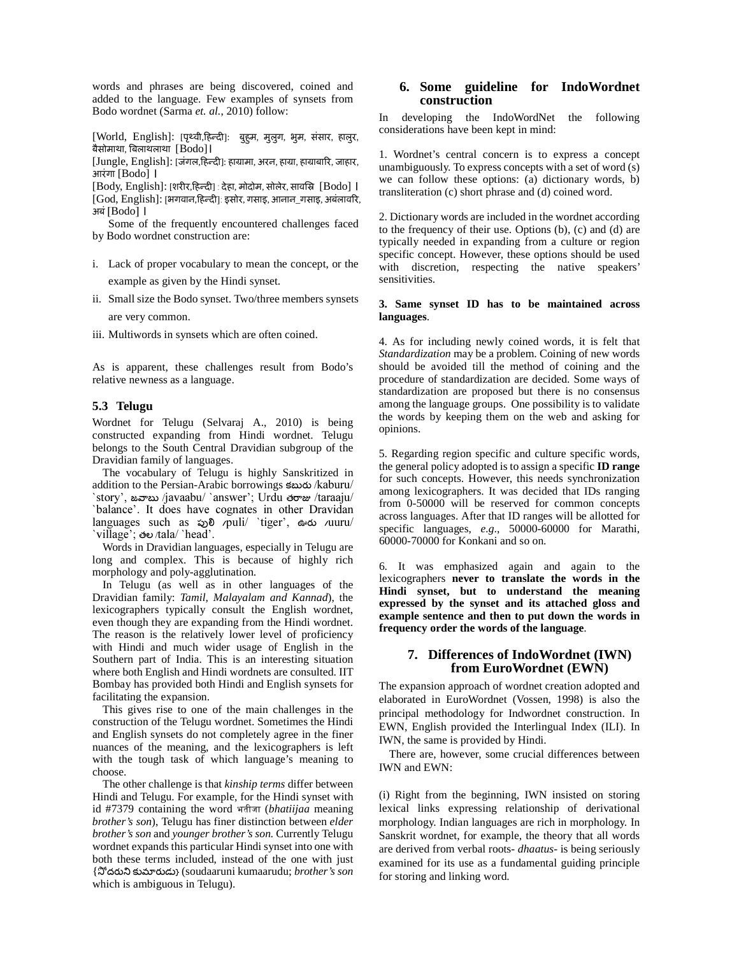words and phrases are being discovered, coined and added to the language. Few examples of synsets from Bodo wordnet (Sarma *et. al.*, 2010) follow:

[World, English]: [पृथ्वी,हिन्दी]: बुहुम, मुलुग, भुम, संसार, हालुर, बैसोमाथा, बलाथलाथा [Bodo]।

[Jungle, English]: [जंगल,हद ]: हामामा, अरन, हामा, हामाबार, जाहार, आरंगा [Bodo] ।

[Body, English]: [शरीर,हिन्दी] : देहा, मोदोम, सोलेर, सावस्रि [Bodo] । [God, English]: [भगवान,हिन्दी]: इसोर, गसाइ, आनान\_गसाइ, अबंलावरि, अबं[Bodo] ।

Some of the frequently encountered challenges faced by Bodo wordnet construction are:

- i. Lack of proper vocabulary to mean the concept, or the example as given by the Hindi synset.
- ii. Small size the Bodo synset. Two/three members synsets are very common.
- iii. Multiwords in synsets which are often coined.

As is apparent, these challenges result from Bodo's relative newness as a language.

#### **5.3 Telugu**

Wordnet for Telugu (Selvaraj A., 2010) is being constructed expanding from Hindi wordnet. Telugu belongs to the South Central Dravidian subgroup of the Dravidian family of languages.

The vocabulary of Telugu is highly Sanskritized in addition to the Persian-Arabic borrowings కబర /kaburu/ `story', జవాబు /javaabu/ `answer'; Urdu తరాజు /taraaju/ `balance'. It does have cognates in other Dravidan languages such as ప
/puli/ `tiger', ఊర /uuru/ `village'; తల /tala/ `head'.

Words in Dravidian languages, especially in Telugu are long and complex. This is because of highly rich morphology and poly-agglutination.

In Telugu (as well as in other languages of the Dravidian family: *Tamil, Malayalam and Kannad*), the lexicographers typically consult the English wordnet, even though they are expanding from the Hindi wordnet. The reason is the relatively lower level of proficiency with Hindi and much wider usage of English in the Southern part of India. This is an interesting situation where both English and Hindi wordnets are consulted. IIT Bombay has provided both Hindi and English synsets for facilitating the expansion.

This gives rise to one of the main challenges in the construction of the Telugu wordnet. Sometimes the Hindi and English synsets do not completely agree in the finer nuances of the meaning, and the lexicographers is left with the tough task of which language's meaning to choose.

The other challenge is that *kinship terms* differ between Hindi and Telugu. For example, for the Hindi synset with id #7379 containing the word भतीजा (*bhatiijaa* meaning *brother's son*), Telugu has finer distinction between *elder brother's son* and *younger brother's son.* Currently Telugu wordnet expands this particular Hindi synset into one with both these terms included, instead of the one with just {దర కమరడ} (soudaaruni kumaarudu; *brother's son* which is ambiguous in Telugu).

# **6. Some guideline for IndoWordnet construction**

In developing the IndoWordNet the following considerations have been kept in mind:

1. Wordnet's central concern is to express a concept unambiguously. To express concepts with a set of word (s) we can follow these options: (a) dictionary words, b) transliteration (c) short phrase and (d) coined word.

2. Dictionary words are included in the wordnet according to the frequency of their use. Options (b), (c) and (d) are typically needed in expanding from a culture or region specific concept. However, these options should be used with discretion, respecting the native speakers' sensitivities.

#### **3. Same synset ID has to be maintained across languages**.

4. As for including newly coined words, it is felt that *Standardization* may be a problem. Coining of new words should be avoided till the method of coining and the procedure of standardization are decided. Some ways of standardization are proposed but there is no consensus among the language groups. One possibility is to validate the words by keeping them on the web and asking for opinions.

5. Regarding region specific and culture specific words, the general policy adopted is to assign a specific **ID range** for such concepts. However, this needs synchronization among lexicographers. It was decided that IDs ranging from 0-50000 will be reserved for common concepts across languages. After that ID ranges will be allotted for specific languages, *e.g*., 50000-60000 for Marathi, 60000-70000 for Konkani and so on.

6. It was emphasized again and again to the lexicographers **never to translate the words in the Hindi synset, but to understand the meaning expressed by the synset and its attached gloss and example sentence and then to put down the words in frequency order the words of the language**.

### **7. Differences of IndoWordnet (IWN) from EuroWordnet (EWN)**

The expansion approach of wordnet creation adopted and elaborated in EuroWordnet (Vossen, 1998) is also the principal methodology for Indwordnet construction. In EWN, English provided the Interlingual Index (ILI). In IWN, the same is provided by Hindi.

There are, however, some crucial differences between IWN and EWN:

(i) Right from the beginning, IWN insisted on storing lexical links expressing relationship of derivational morphology. Indian languages are rich in morphology. In Sanskrit wordnet, for example, the theory that all words are derived from verbal roots- *dhaatus-* is being seriously examined for its use as a fundamental guiding principle for storing and linking word.